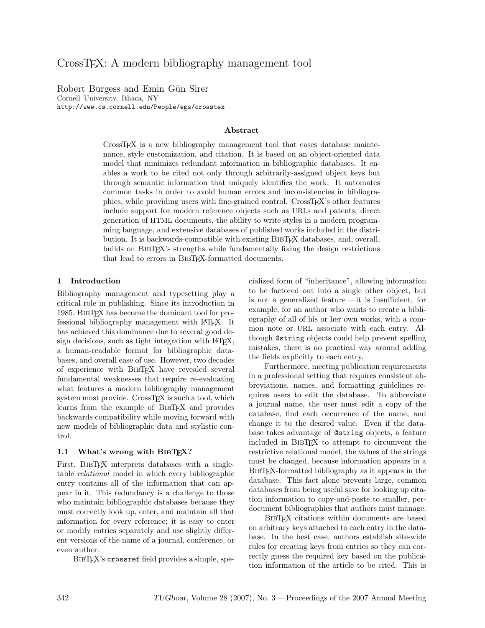# CrossTEX: A modern bibliography management tool

Robert Burgess and Emin Gün Sirer Cornell University, Ithaca, NY http://www.cs.cornell.edu/People/egs/crosstex

### Abstract

CrossT<sub>EX</sub> is a new bibliography management tool that eases database maintenance, style customization, and citation. It is based on an object-oriented data model that minimizes redundant information in bibliographic databases. It enables a work to be cited not only through arbitrarily-assigned object keys but through semantic information that uniquely identifies the work. It automates common tasks in order to avoid human errors and inconsistencies in bibliographies, while providing users with fine-grained control. CrossTEX's other features include support for modern reference objects such as URLs and patents, direct generation of HTML documents, the ability to write styles in a modern programming language, and extensive databases of published works included in the distribution. It is backwards-compatible with existing BIBTEX databases, and, overall, builds on BIBTEX's strengths while fundamentally fixing the design restrictions that lead to errors in BibTEX-formatted documents.

# 1 Introduction

Bibliography management and typesetting play a critical role in publishing. Since its introduction in 1985, BibTEX has become the dominant tool for professional bibliography management with LATEX. It has achieved this dominance due to several good design decisions, such as tight integration with LAT<sub>EX</sub>, a human-readable format for bibliographic databases, and overall ease of use. However, two decades of experience with BibTEX have revealed several fundamental weaknesses that require re-evaluating what features a modern bibliography management system must provide. CrossT<sub>F</sub>X is such a tool, which learns from the example of BIBT<sub>EX</sub> and provides backwards compatibility while moving forward with new models of bibliographic data and stylistic control.

#### 1.1 What's wrong with BIBTFX?

First, BIBTEX interprets databases with a singletable relational model in which every bibliographic entry contains all of the information that can appear in it. This redundancy is a challenge to those who maintain bibliographic databases because they must correctly look up, enter, and maintain all that information for every reference; it is easy to enter or modify entries separately and use slightly different versions of the name of a journal, conference, or even author.

BIBT<sub>F</sub>X's crossref field provides a simple, spe-

cialized form of "inheritance", allowing information to be factored out into a single other object, but is not a generalized feature— it is insufficient, for example, for an author who wants to create a bibliography of all of his or her own works, with a common note or URL associate with each entry. Although @string objects could help prevent spelling mistakes, there is no practical way around adding the fields explicitly to each entry.

Furthermore, meeting publication requirements in a professional setting that requires consistent abbreviations, names, and formatting guidelines requires users to edit the database. To abbreviate a journal name, the user must edit a copy of the database, find each occurrence of the name, and change it to the desired value. Even if the database takes advantage of @string objects, a feature included in BibTEX to attempt to circumvent the restrictive relational model, the values of the strings must be changed, because information appears in a BibTEX-formatted bibliography as it appears in the database. This fact alone prevents large, common databases from being useful save for looking up citation information to copy-and-paste to smaller, perdocument bibliographies that authors must manage.

BibTEX citations within documents are based on arbitrary keys attached to each entry in the database. In the best case, authors establish site-wide rules for creating keys from entries so they can correctly guess the required key based on the publication information of the article to be cited. This is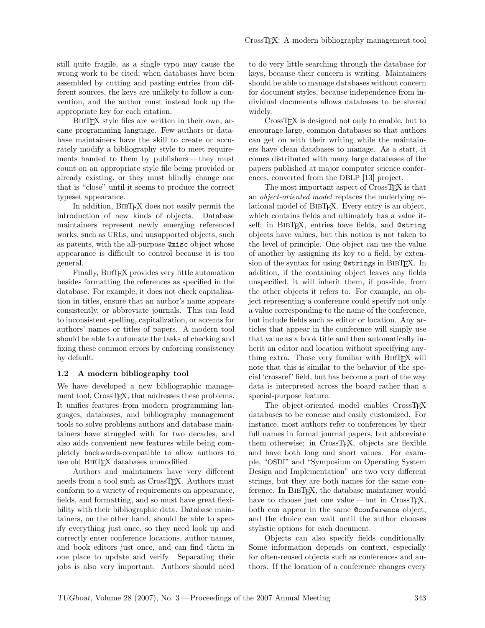still quite fragile, as a single typo may cause the wrong work to be cited; when databases have been assembled by cutting and pasting entries from different sources, the keys are unlikely to follow a convention, and the author must instead look up the appropriate key for each citation.

BIBT<sub>EX</sub> style files are written in their own, arcane programming language. Few authors or database maintainers have the skill to create or accurately modify a bibliography style to meet requirements handed to them by publishers — they must count on an appropriate style file being provided or already existing, or they must blindly change one that is "close" until it seems to produce the correct typeset appearance.

In addition, BibTEX does not easily permit the introduction of new kinds of objects. Database maintainers represent newly emerging referenced works, such as URLs, and unsupported objects, such as patents, with the all-purpose @misc object whose appearance is difficult to control because it is too general.

Finally, BibTEX provides very little automation besides formatting the references as specified in the database. For example, it does not check capitalization in titles, ensure that an author's name appears consistently, or abbreviate journals. This can lead to inconsistent spelling, capitalization, or accents for authors' names or titles of papers. A modern tool should be able to automate the tasks of checking and fixing these common errors by enforcing consistency by default.

#### 1.2 A modern bibliography tool

We have developed a new bibliographic management tool, CrossTEX, that addresses these problems. It unifies features from modern programming languages, databases, and bibliography management tools to solve problems authors and database maintainers have struggled with for two decades, and also adds convenient new features while being completely backwards-compatible to allow authors to use old BIBTFX databases unmodified.

Authors and maintainers have very different needs from a tool such as CrossT<sub>FX</sub>. Authors must conform to a variety of requirements on appearance, fields, and formatting, and so must have great flexibility with their bibliographic data. Database maintainers, on the other hand, should be able to specify everything just once, so they need look up and correctly enter conference locations, author names, and book editors just once, and can find them in one place to update and verify. Separating their jobs is also very important. Authors should need

to do very little searching through the database for keys, because their concern is writing. Maintainers should be able to manage databases without concern for document styles, because independence from individual documents allows databases to be shared widely.

CrossTEX is designed not only to enable, but to encourage large, common databases so that authors can get on with their writing while the maintainers have clean databases to manage. As a start, it comes distributed with many large databases of the papers published at major computer science conferences, converted from the DBLP [\[13\]](#page-7-0) project.

The most important aspect of CrossT<sub>EX</sub> is that an object-oriented model replaces the underlying relational model of BIBT<sub>EX</sub>. Every entry is an object, which contains fields and ultimately has a value itself; in BIBT<sub>E</sub>X, entries have fields, and @string objects have values, but this notion is not taken to the level of principle. One object can use the value of another by assigning its key to a field, by extension of the syntax for using @strings in BIBT<sub>E</sub>X. In addition, if the containing object leaves any fields unspecified, it will inherit them, if possible, from the other objects it refers to. For example, an object representing a conference could specify not only a value corresponding to the name of the conference, but include fields such as editor or location. Any articles that appear in the conference will simply use that value as a book title and then automatically inherit an editor and location without specifying anything extra. Those very familiar with BIBTEX will note that this is similar to the behavior of the special 'crossref' field, but has become a part of the way data is interpreted across the board rather than a special-purpose feature.

The object-oriented model enables CrossTEX databases to be concise and easily customized. For instance, most authors refer to conferences by their full names in formal journal papers, but abbreviate them otherwise; in CrossT<sub>EX</sub>, objects are flexible and have both long and short values. For example, "OSDI" and "Symposium on Operating System Design and Implementation" are two very different strings, but they are both names for the same conference. In BibTEX, the database maintainer would have to choose just one value—but in  $CrossT<sub>F</sub>X$ , both can appear in the same @conference object, and the choice can wait until the author chooses stylistic options for each document.

Objects can also specify fields conditionally. Some information depends on context, especially for often-reused objects such as conferences and authors. If the location of a conference changes every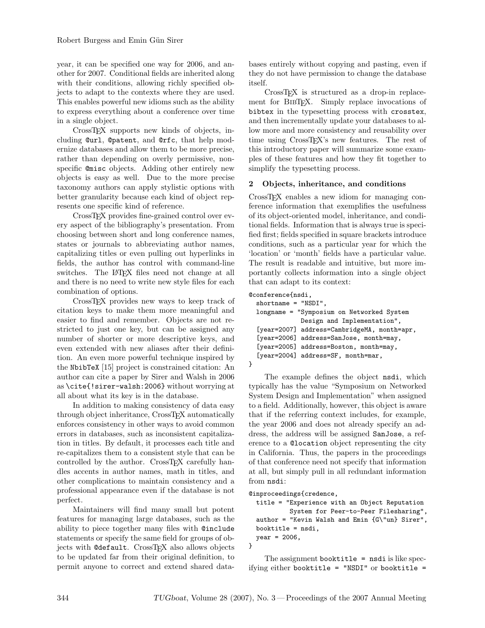year, it can be specified one way for 2006, and another for 2007. Conditional fields are inherited along with their conditions, allowing richly specified objects to adapt to the contexts where they are used. This enables powerful new idioms such as the ability to express everything about a conference over time in a single object.

CrossTEX supports new kinds of objects, including @url, @patent, and @rfc, that help modernize databases and allow them to be more precise, rather than depending on overly permissive, nonspecific @misc objects. Adding other entirely new objects is easy as well. Due to the more precise taxonomy authors can apply stylistic options with better granularity because each kind of object represents one specific kind of reference.

CrossTEX provides fine-grained control over every aspect of the bibliography's presentation. From choosing between short and long conference names, states or journals to abbreviating author names, capitalizing titles or even pulling out hyperlinks in fields, the author has control with command-line switches. The LATEX files need not change at all and there is no need to write new style files for each combination of options.

CrossTEX provides new ways to keep track of citation keys to make them more meaningful and easier to find and remember. Objects are not restricted to just one key, but can be assigned any number of shorter or more descriptive keys, and even extended with new aliases after their definition. An even more powerful technique inspired by the NbibTeX [\[15\]](#page-7-1) project is constrained citation: An author can cite a paper by Sirer and Walsh in 2006 as \cite{!sirer-walsh:2006} without worrying at all about what its key is in the database.

In addition to making consistency of data easy through object inheritance, CrossTEX automatically enforces consistency in other ways to avoid common errors in databases, such as inconsistent capitalization in titles. By default, it processes each title and re-capitalizes them to a consistent style that can be controlled by the author. CrossTEX carefully handles accents in author names, math in titles, and other complications to maintain consistency and a professional appearance even if the database is not perfect.

Maintainers will find many small but potent features for managing large databases, such as the ability to piece together many files with @include statements or specify the same field for groups of objects with @default. CrossTFX also allows objects to be updated far from their original definition, to permit anyone to correct and extend shared databases entirely without copying and pasting, even if they do not have permission to change the database itself.

CrossTEX is structured as a drop-in replacement for BIBT<sub>EX</sub>. Simply replace invocations of bibtex in the typesetting process with crosstex, and then incrementally update your databases to allow more and more consistency and reusability over time using CrossT<sub>EX</sub>'s new features. The rest of this introductory paper will summarize some examples of these features and how they fit together to simplify the typesetting process.

# 2 Objects, inheritance, and conditions

CrossTEX enables a new idiom for managing conference information that exemplifies the usefulness of its object-oriented model, inheritance, and conditional fields. Information that is always true is specified first; fields specified in square brackets introduce conditions, such as a particular year for which the 'location' or 'month' fields have a particular value. The result is readable and intuitive, but more importantly collects information into a single object that can adapt to its context:

### @conference{nsdi,

}

```
shortname = "NSDI",
longname = "Symposium on Networked System
            Design and Implementation",
[year=2007] address=CambridgeMA, month=apr,
[year=2006] address=SanJose, month=may,
[year=2005] address=Boston, month=may,
[year=2004] address=SF, month=mar,
```
The example defines the object nsdi, which typically has the value "Symposium on Networked System Design and Implementation" when assigned to a field. Additionally, however, this object is aware that if the referring context includes, for example, the year 2006 and does not already specify an address, the address will be assigned SanJose, a reference to a @location object representing the city in California. Thus, the papers in the proceedings of that conference need not specify that information at all, but simply pull in all redundant information from nsdi:

#### @inproceedings{credence,

```
title = "Experience with an Object Reputation
           System for Peer-to-Peer Filesharing",
  author = "Kevin Walsh and Emin {G\"un} Sirer",
 booktitle = nsdi,
 year = 2006,}
```
The assignment booktitle  $=$  nsdi is like specifying either booktitle = "NSDI" or booktitle =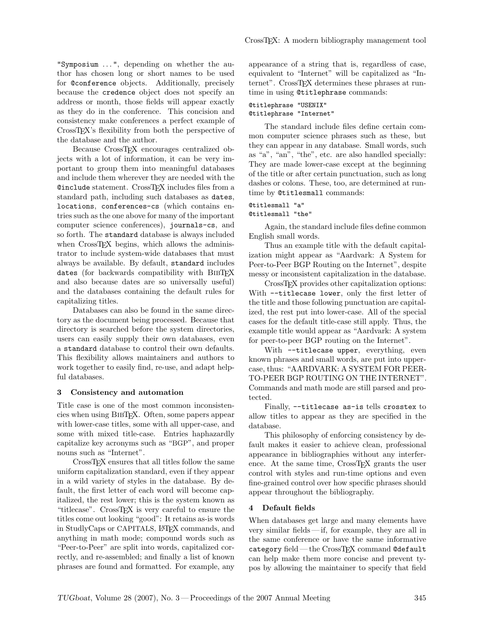"Symposium . . . ", depending on whether the author has chosen long or short names to be used for @conference objects. Additionally, precisely because the credence object does not specify an address or month, those fields will appear exactly as they do in the conference. This concision and consistency make conferences a perfect example of CrossTEX's flexibility from both the perspective of the database and the author.

Because CrossT<sub>F</sub>X encourages centralized objects with a lot of information, it can be very important to group them into meaningful databases and include them wherever they are needed with the @include statement. CrossTEX includes files from a standard path, including such databases as dates, locations, conferences-cs (which contains entries such as the one above for many of the important computer science conferences), journals-cs, and so forth. The standard database is always included when CrossTEX begins, which allows the administrator to include system-wide databases that must always be available. By default, standard includes dates (for backwards compatibility with BibTEX and also because dates are so universally useful) and the databases containing the default rules for capitalizing titles.

Databases can also be found in the same directory as the document being processed. Because that directory is searched before the system directories, users can easily supply their own databases, even a standard database to control their own defaults. This flexibility allows maintainers and authors to work together to easily find, re-use, and adapt helpful databases.

#### 3 Consistency and automation

Title case is one of the most common inconsistencies when using BibTEX. Often, some papers appear with lower-case titles, some with all upper-case, and some with mixed title-case. Entries haphazardly capitalize key acronyms such as "BGP", and proper nouns such as "Internet".

CrossTEX ensures that all titles follow the same uniform capitalization standard, even if they appear in a wild variety of styles in the database. By default, the first letter of each word will become capitalized, the rest lower; this is the system known as "titlecase". CrossTEX is very careful to ensure the titles come out looking "good": It retains as-is words in StudlyCaps or CAPITALS, LATEX commands, and anything in math mode; compound words such as "Peer-to-Peer" are split into words, capitalized correctly, and re-assembled; and finally a list of known phrases are found and formatted. For example, any appearance of a string that is, regardless of case, equivalent to "Internet" will be capitalized as "Internet". CrossTEX determines these phrases at runtime in using @titlephrase commands:

### @titlephrase "USENIX" @titlephrase "Internet"

The standard include files define certain common computer science phrases such as these, but they can appear in any database. Small words, such as "a", "an", "the", etc. are also handled specially: They are made lower-case except at the beginning of the title or after certain punctuation, such as long dashes or colons. These, too, are determined at runtime by @titlesmall commands:

# @titlesmall "a" @titlesmall "the"

Again, the standard include files define common English small words.

Thus an example title with the default capitalization might appear as "Aardvark: A System for Peer-to-Peer BGP Routing on the Internet", despite messy or inconsistent capitalization in the database.

CrossTEX provides other capitalization options: With --titlecase lower, only the first letter of the title and those following punctuation are capitalized, the rest put into lower-case. All of the special cases for the default title-case still apply. Thus, the example title would appear as "Aardvark: A system for peer-to-peer BGP routing on the Internet".

With --titlecase upper, everything, even known phrases and small words, are put into uppercase, thus: "AARDVARK: A SYSTEM FOR PEER-TO-PEER BGP ROUTING ON THE INTERNET". Commands and math mode are still parsed and protected.

Finally, --titlecase as-is tells crosstex to allow titles to appear as they are specified in the database.

This philosophy of enforcing consistency by default makes it easier to achieve clean, professional appearance in bibliographies without any interference. At the same time, CrossTEX grants the user control with styles and run-time options and even fine-grained control over how specific phrases should appear throughout the bibliography.

### 4 Default fields

When databases get large and many elements have very similar fields— if, for example, they are all in the same conference or have the same informative category field — the CrossTEX command @default can help make them more concise and prevent typos by allowing the maintainer to specify that field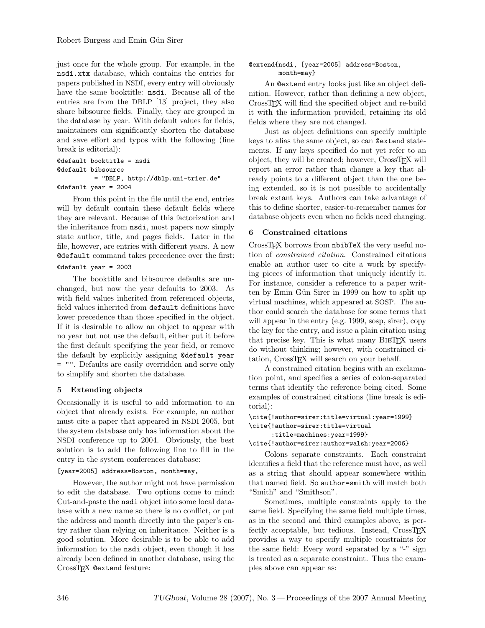just once for the whole group. For example, in the nsdi.xtx database, which contains the entries for papers published in NSDI, every entry will obviously have the same booktitle: nsdi. Because all of the entries are from the DBLP [\[13\]](#page-7-0) project, they also share bibsource fields. Finally, they are grouped in the database by year. With default values for fields, maintainers can significantly shorten the database and save effort and typos with the following (line break is editorial):

```
@default booktitle = nsdi
@default bibsource
          = "DBLP, http://dblp.uni-trier.de"
@default year = 2004
```
From this point in the file until the end, entries will by default contain these default fields where they are relevant. Because of this factorization and the inheritance from nsdi, most papers now simply state author, title, and pages fields. Later in the file, however, are entries with different years. A new @default command takes precedence over the first:

# @default year = 2003

The booktitle and bibsource defaults are unchanged, but now the year defaults to 2003. As with field values inherited from referenced objects, field values inherited from default definitions have lower precedence than those specified in the object. If it is desirable to allow an object to appear with no year but not use the default, either put it before the first default specifying the year field, or remove the default by explicitly assigning @default year = "". Defaults are easily overridden and serve only to simplify and shorten the database.

# 5 Extending objects

Occasionally it is useful to add information to an object that already exists. For example, an author must cite a paper that appeared in NSDI 2005, but the system database only has information about the NSDI conference up to 2004. Obviously, the best solution is to add the following line to fill in the entry in the system conferences database:

### [year=2005] address=Boston, month=may,

However, the author might not have permission to edit the database. Two options come to mind: Cut-and-paste the nsdi object into some local database with a new name so there is no conflict, or put the address and month directly into the paper's entry rather than relying on inheritance. Neither is a good solution. More desirable is to be able to add information to the nsdi object, even though it has already been defined in another database, using the CrossT<sub>F</sub>X @extend feature:

# @extend{nsdi, [year=2005] address=Boston, month=may}

An @extend entry looks just like an object definition. However, rather than defining a new object, CrossTEX will find the specified object and re-build it with the information provided, retaining its old fields where they are not changed.

Just as object definitions can specify multiple keys to alias the same object, so can @extend statements. If any keys specified do not yet refer to an object, they will be created; however, CrossTEX will report an error rather than change a key that already points to a different object than the one being extended, so it is not possible to accidentally break extant keys. Authors can take advantage of this to define shorter, easier-to-remember names for database objects even when no fields need changing.

# 6 Constrained citations

CrossT<sub>F</sub>X borrows from nbibTeX the very useful notion of constrained citation. Constrained citations enable an author user to cite a work by specifying pieces of information that uniquely identify it. For instance, consider a reference to a paper written by Emin Gün Sirer in 1999 on how to split up virtual machines, which appeared at SOSP. The author could search the database for some terms that will appear in the entry (e.g. 1999, sosp, sirer), copy the key for the entry, and issue a plain citation using that precise key. This is what many BIBTEX users do without thinking; however, with constrained citation, CrossTEX will search on your behalf.

A constrained citation begins with an exclamation point, and specifies a series of colon-separated terms that identify the reference being cited. Some examples of constrained citations (line break is editorial):

```
\cite{!author=sirer:title=virtual:year=1999}
\cite{!author=sirer:title=virtual
      :title=machines:year=1999}
\cite{!author=sirer:author=walsh:year=2006}
```
Colons separate constraints. Each constraint identifies a field that the reference must have, as well as a string that should appear somewhere within that named field. So author=smith will match both "Smith" and "Smithson".

Sometimes, multiple constraints apply to the same field. Specifying the same field multiple times, as in the second and third examples above, is perfectly acceptable, but tedious. Instead, CrossTEX provides a way to specify multiple constraints for the same field: Every word separated by a "-" sign is treated as a separate constraint. Thus the examples above can appear as: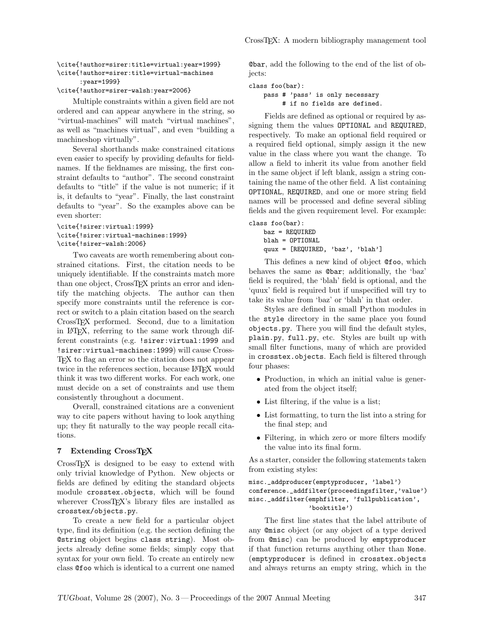#### \cite{!author=sirer:title=virtual:year=1999} \cite{!author=sirer:title=virtual-machines :year=1999}

### \cite{!author=sirer-walsh:year=2006}

Multiple constraints within a given field are not ordered and can appear anywhere in the string, so "virtual-machines" will match "virtual machines", as well as "machines virtual", and even "building a machineshop virtually".

Several shorthands make constrained citations even easier to specify by providing defaults for fieldnames. If the fieldnames are missing, the first constraint defaults to "author". The second constraint defaults to "title" if the value is not numeric; if it is, it defaults to "year". Finally, the last constraint defaults to "year". So the examples above can be even shorter:

### \cite{!sirer:virtual:1999} \cite{!sirer:virtual-machines:1999} \cite{!sirer-walsh:2006}

Two caveats are worth remembering about constrained citations. First, the citation needs to be uniquely identifiable. If the constraints match more than one object, CrossTEX prints an error and identify the matching objects. The author can then specify more constraints until the reference is correct or switch to a plain citation based on the search CrossTEX performed. Second, due to a limitation in LATEX, referring to the same work through different constraints (e.g. !sirer:virtual:1999 and !sirer:virtual-machines:1999) will cause Cross-TEX to flag an error so the citation does not appear twice in the references section, because LAT<sub>EX</sub> would think it was two different works. For each work, one must decide on a set of constraints and use them consistently throughout a document.

Overall, constrained citations are a convenient way to cite papers without having to look anything up; they fit naturally to the way people recall citations.

#### 7 Extending CrossTFX

CrossTEX is designed to be easy to extend with only trivial knowledge of Python. New objects or fields are defined by editing the standard objects module crosstex.objects, which will be found wherever CrossT<sub>E</sub>X's library files are installed as crosstex/objects.py.

To create a new field for a particular object type, find its definition (e.g. the section defining the @string object begins class string). Most objects already define some fields; simply copy that syntax for your own field. To create an entirely new class @foo which is identical to a current one named

@bar, add the following to the end of the list of objects:

class foo(bar):

```
pass # 'pass' is only necessary
     # if no fields are defined.
```
Fields are defined as optional or required by assigning them the values OPTIONAL and REQUIRED, respectively. To make an optional field required or a required field optional, simply assign it the new value in the class where you want the change. To allow a field to inherit its value from another field in the same object if left blank, assign a string containing the name of the other field. A list containing OPTIONAL, REQUIRED, and one or more string field names will be processed and define several sibling fields and the given requirement level. For example:

```
class foo(bar):
   baz = REQUIRED
   blah = OPTIONAL
   quux = [REQUIRED, 'baz', 'blah']
```
This defines a new kind of object @foo, which behaves the same as @bar; additionally, the 'baz' field is required, the 'blah' field is optional, and the 'quux' field is required but if unspecified will try to take its value from 'baz' or 'blah' in that order.

Styles are defined in small Python modules in the style directory in the same place you found objects.py. There you will find the default styles, plain.py, full.py, etc. Styles are built up with small filter functions, many of which are provided in crosstex.objects. Each field is filtered through four phases:

- Production, in which an initial value is generated from the object itself;
- List filtering, if the value is a list;
- List formatting, to turn the list into a string for the final step; and
- Filtering, in which zero or more filters modify the value into its final form.

As a starter, consider the following statements taken from existing styles:

### misc.\_addproducer(emptyproducer, 'label') conference.\_addfilter(proceedingsfilter,'value') misc.\_addfilter(emphfilter, 'fullpublication', 'booktitle')

The first line states that the label attribute of any @misc object (or any object of a type derived from @misc) can be produced by emptyproducer if that function returns anything other than None. (emptyproducer is defined in crosstex.objects and always returns an empty string, which in the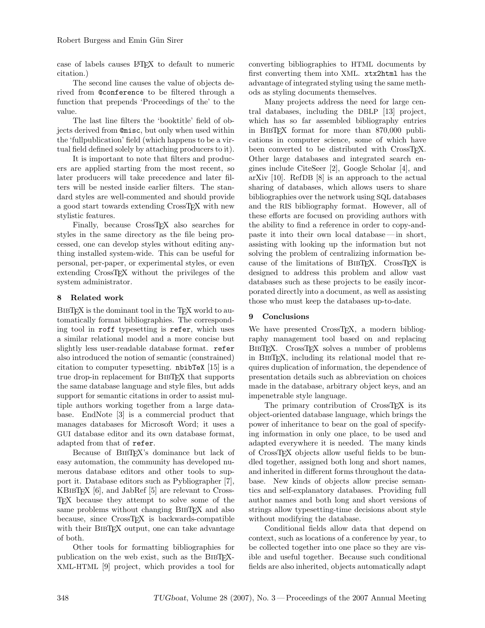case of labels causes LATEX to default to numeric citation.)

The second line causes the value of objects derived from @conference to be filtered through a function that prepends 'Proceedings of the' to the value.

The last line filters the 'booktitle' field of objects derived from @misc, but only when used within the 'fullpublication' field (which happens to be a virtual field defined solely by attaching producers to it).

It is important to note that filters and producers are applied starting from the most recent, so later producers will take precedence and later filters will be nested inside earlier filters. The standard styles are well-commented and should provide a good start towards extending CrossTEX with new stylistic features.

Finally, because CrossT<sub>F</sub>X also searches for styles in the same directory as the file being processed, one can develop styles without editing anything installed system-wide. This can be useful for personal, per-paper, or experimental styles, or even extending CrossTEX without the privileges of the system administrator.

# 8 Related work

BIBTEX is the dominant tool in the TEX world to automatically format bibliographies. The corresponding tool in roff typesetting is refer, which uses a similar relational model and a more concise but slightly less user-readable database format. refer also introduced the notion of semantic (constrained) citation to computer typesetting. nbibTeX [\[15\]](#page-7-1) is a true drop-in replacement for BibTEX that supports the same database language and style files, but adds support for semantic citations in order to assist multiple authors working together from a large database. EndNote [\[3\]](#page-7-2) is a commercial product that manages databases for Microsoft Word; it uses a GUI database editor and its own database format, adapted from that of refer.

Because of BibTEX's dominance but lack of easy automation, the community has developed numerous database editors and other tools to support it. Database editors such as Pybliographer [\[7\]](#page-7-3), KBIBTEX [\[6\]](#page-7-4), and JabRef [\[5\]](#page-7-5) are relevant to Cross-TEX because they attempt to solve some of the same problems without changing BIBT<sub>EX</sub> and also because, since CrossTEX is backwards-compatible with their BIBT<sub>F</sub>X output, one can take advantage of both.

Other tools for formatting bibliographies for publication on the web exist, such as the BIBTEX-XML-HTML [\[9\]](#page-7-6) project, which provides a tool for

converting bibliographies to HTML documents by first converting them into XML. xtx2html has the advantage of integrated styling using the same methods as styling documents themselves.

Many projects address the need for large central databases, including the DBLP [\[13\]](#page-7-0) project, which has so far assembled bibliography entries in BibTEX format for more than 870,000 publications in computer science, some of which have been converted to be distributed with CrossTFX. Other large databases and integrated search engines include CiteSeer [\[2\]](#page-7-7), Google Scholar [\[4\]](#page-7-8), and arXiv [\[10\]](#page-7-9). RefDB [\[8\]](#page-7-10) is an approach to the actual sharing of databases, which allows users to share bibliographies over the network using SQL databases and the RIS bibliography format. However, all of these efforts are focused on providing authors with the ability to find a reference in order to copy-andpaste it into their own local database — in short, assisting with looking up the information but not solving the problem of centralizing information because of the limitations of BIBT<sub>EX</sub>. CrossT<sub>EX</sub> is designed to address this problem and allow vast databases such as these projects to be easily incorporated directly into a document, as well as assisting those who must keep the databases up-to-date.

# 9 Conclusions

We have presented CrossTFX, a modern bibliography management tool based on and replacing BIBTEX. CrossTEX solves a number of problems in BibTEX, including its relational model that requires duplication of information, the dependence of presentation details such as abbreviation on choices made in the database, arbitrary object keys, and an impenetrable style language.

The primary contribution of CrossTEX is its object-oriented database language, which brings the power of inheritance to bear on the goal of specifying information in only one place, to be used and adapted everywhere it is needed. The many kinds of CrossTEX objects allow useful fields to be bundled together, assigned both long and short names, and inherited in different forms throughout the database. New kinds of objects allow precise semantics and self-explanatory databases. Providing full author names and both long and short versions of strings allow typesetting-time decisions about style without modifying the database.

Conditional fields allow data that depend on context, such as locations of a conference by year, to be collected together into one place so they are visible and useful together. Because such conditional fields are also inherited, objects automatically adapt